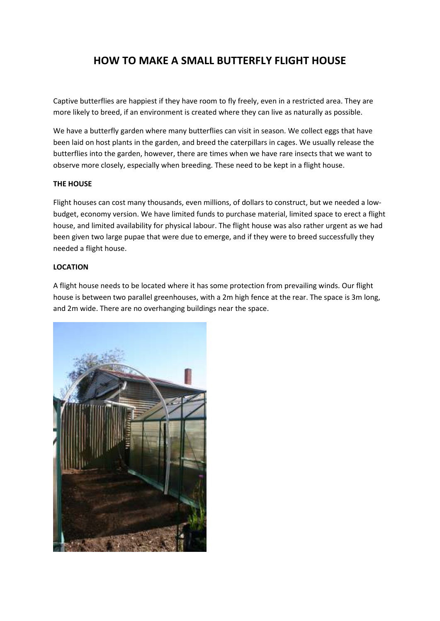# **HOW TO MAKE A SMALL BUTTERFLY FLIGHT HOUSE**

Captive butterflies are happiest if they have room to fly freely, even in a restricted area. They are more likely to breed, if an environment is created where they can live as naturally as possible.

We have a butterfly garden where many butterflies can visit in season. We collect eggs that have been laid on host plants in the garden, and breed the caterpillars in cages. We usually release the butterflies into the garden, however, there are times when we have rare insects that we want to observe more closely, especially when breeding. These need to be kept in a flight house.

#### **THE HOUSE**

Flight houses can cost many thousands, even millions, of dollars to construct, but we needed a lowbudget, economy version. We have limited funds to purchase material, limited space to erect a flight house, and limited availability for physical labour. The flight house was also rather urgent as we had been given two large pupae that were due to emerge, and if they were to breed successfully they needed a flight house.

#### **LOCATION**

A flight house needs to be located where it has some protection from prevailing winds. Our flight house is between two parallel greenhouses, with a 2m high fence at the rear. The space is 3m long, and 2m wide. There are no overhanging buildings near the space.

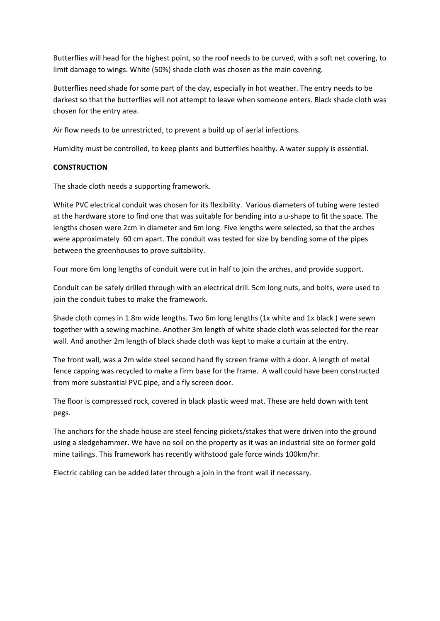Butterflies will head for the highest point, so the roof needs to be curved, with a soft net covering, to limit damage to wings. White (50%) shade cloth was chosen as the main covering.

Butterflies need shade for some part of the day, especially in hot weather. The entry needs to be darkest so that the butterflies will not attempt to leave when someone enters. Black shade cloth was chosen for the entry area.

Air flow needs to be unrestricted, to prevent a build up of aerial infections.

Humidity must be controlled, to keep plants and butterflies healthy. A water supply is essential.

#### **CONSTRUCTION**

The shade cloth needs a supporting framework.

White PVC electrical conduit was chosen for its flexibility. Various diameters of tubing were tested at the hardware store to find one that was suitable for bending into a u-shape to fit the space. The lengths chosen were 2cm in diameter and 6m long. Five lengths were selected, so that the arches were approximately 60 cm apart. The conduit was tested for size by bending some of the pipes between the greenhouses to prove suitability.

Four more 6m long lengths of conduit were cut in half to join the arches, and provide support.

Conduit can be safely drilled through with an electrical drill. 5cm long nuts, and bolts, were used to join the conduit tubes to make the framework.

Shade cloth comes in 1.8m wide lengths. Two 6m long lengths (1x white and 1x black ) were sewn together with a sewing machine. Another 3m length of white shade cloth was selected for the rear wall. And another 2m length of black shade cloth was kept to make a curtain at the entry.

The front wall, was a 2m wide steel second hand fly screen frame with a door. A length of metal fence capping was recycled to make a firm base for the frame. A wall could have been constructed from more substantial PVC pipe, and a fly screen door.

The floor is compressed rock, covered in black plastic weed mat. These are held down with tent pegs.

The anchors for the shade house are steel fencing pickets/stakes that were driven into the ground using a sledgehammer. We have no soil on the property as it was an industrial site on former gold mine tailings. This framework has recently withstood gale force winds 100km/hr.

Electric cabling can be added later through a join in the front wall if necessary.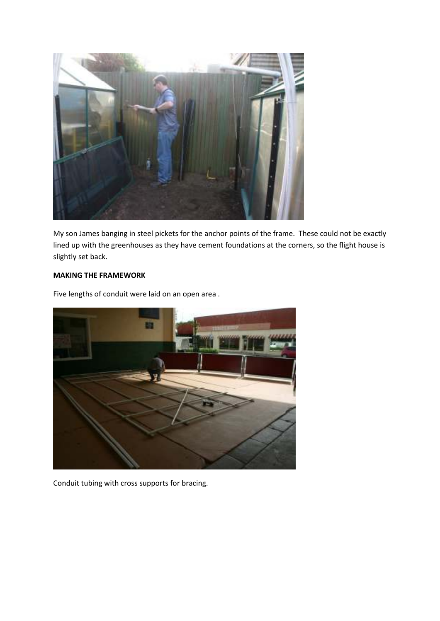

My son James banging in steel pickets for the anchor points of the frame. These could not be exactly lined up with the greenhouses as they have cement foundations at the corners, so the flight house is slightly set back.

### **MAKING THE FRAMEWORK**

Five lengths of conduit were laid on an open area .



Conduit tubing with cross supports for bracing.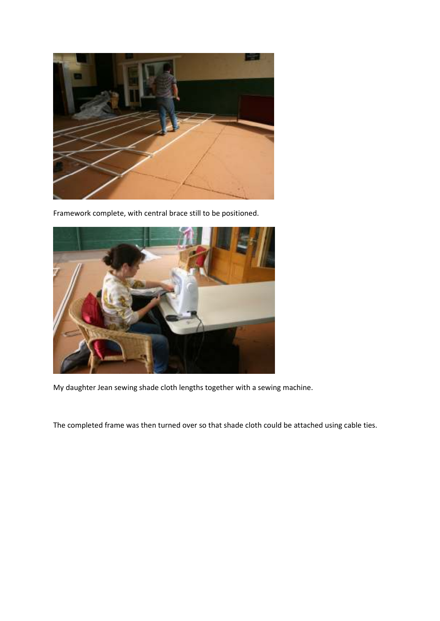

Framework complete, with central brace still to be positioned.



My daughter Jean sewing shade cloth lengths together with a sewing machine.

The completed frame was then turned over so that shade cloth could be attached using cable ties.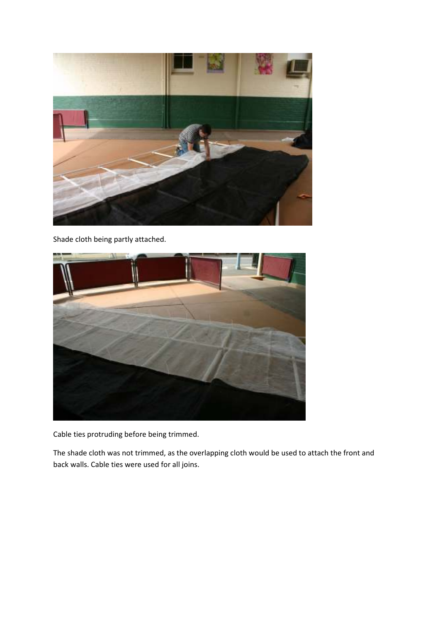

Shade cloth being partly attached.



Cable ties protruding before being trimmed.

The shade cloth was not trimmed, as the overlapping cloth would be used to attach the front and back walls. Cable ties were used for all joins.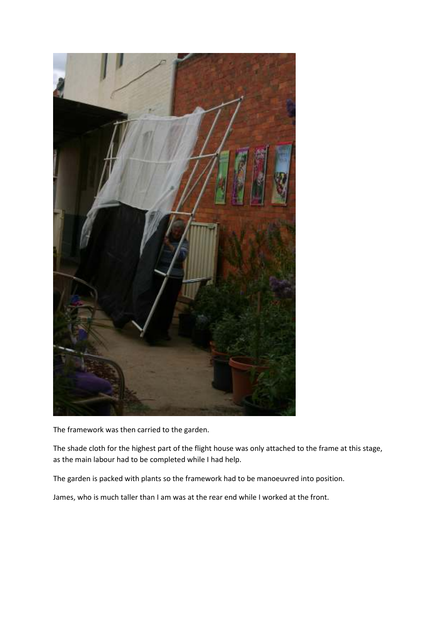

The framework was then carried to the garden.

The shade cloth for the highest part of the flight house was only attached to the frame at this stage, as the main labour had to be completed while I had help.

The garden is packed with plants so the framework had to be manoeuvred into position.

James, who is much taller than I am was at the rear end while I worked at the front.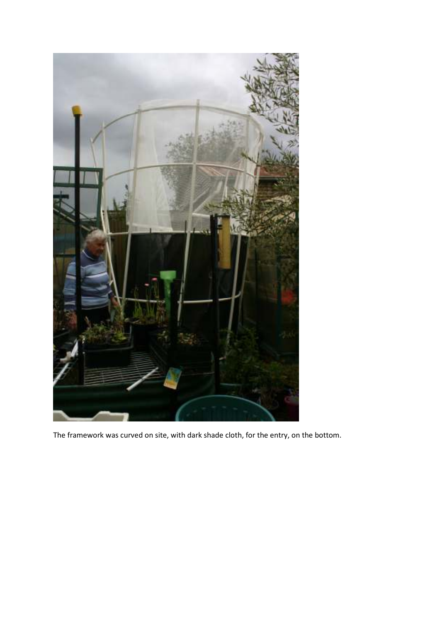

The framework was curved on site, with dark shade cloth, for the entry, on the bottom.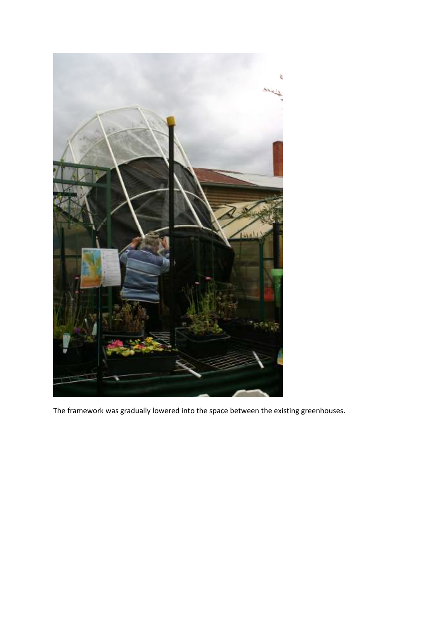

The framework was gradually lowered into the space between the existing greenhouses.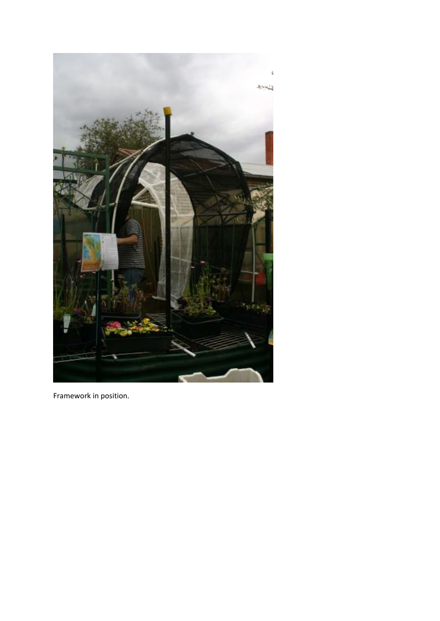

Framework in position.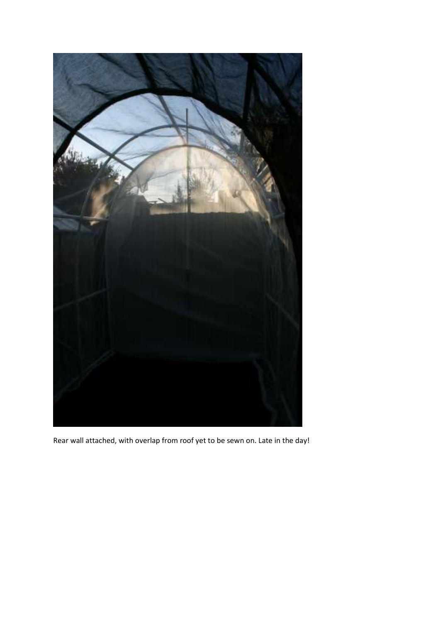

Rear wall attached, with overlap from roof yet to be sewn on. Late in the day!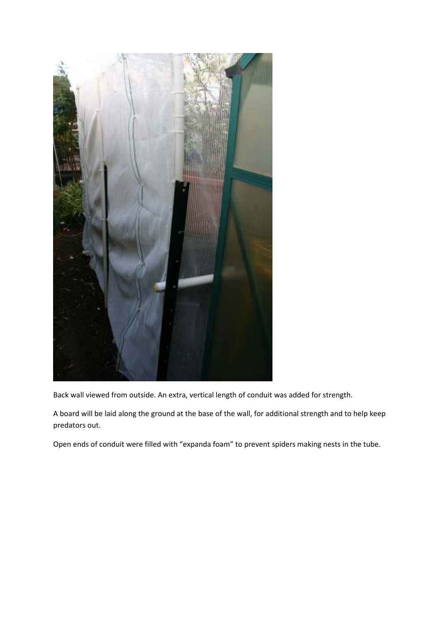

Back wall viewed from outside. An extra, vertical length of conduit was added for strength.

A board will be laid along the ground at the base of the wall, for additional strength and to help keep predators out.

Open ends of conduit were filled with "expanda foam" to prevent spiders making nests in the tube.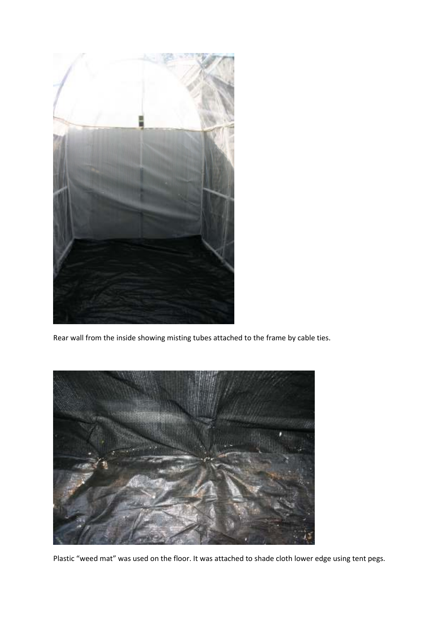

Rear wall from the inside showing misting tubes attached to the frame by cable ties.



Plastic "weed mat" was used on the floor. It was attached to shade cloth lower edge using tent pegs.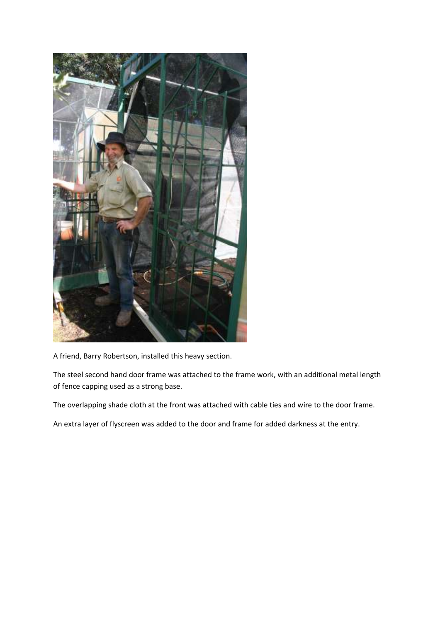

A friend, Barry Robertson, installed this heavy section.

The steel second hand door frame was attached to the frame work, with an additional metal length of fence capping used as a strong base.

The overlapping shade cloth at the front was attached with cable ties and wire to the door frame.

An extra layer of flyscreen was added to the door and frame for added darkness at the entry.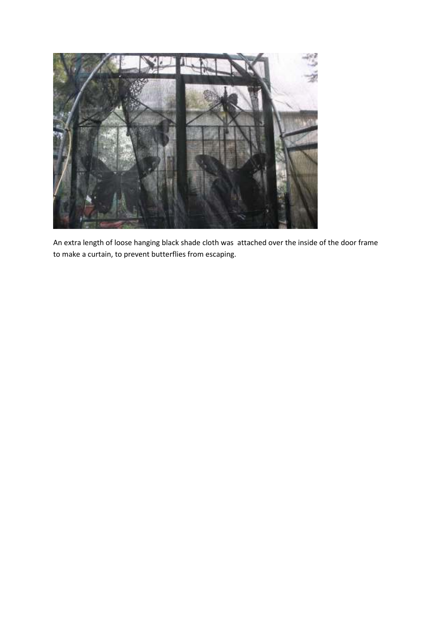

An extra length of loose hanging black shade cloth was attached over the inside of the door frame to make a curtain, to prevent butterflies from escaping.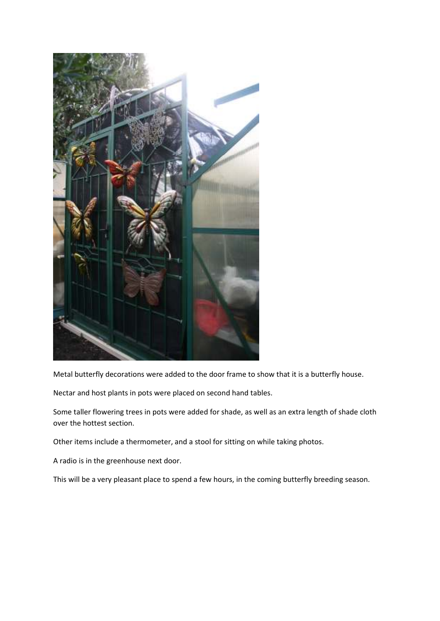

Metal butterfly decorations were added to the door frame to show that it is a butterfly house.

Nectar and host plants in pots were placed on second hand tables.

Some taller flowering trees in pots were added for shade, as well as an extra length of shade cloth over the hottest section.

Other items include a thermometer, and a stool for sitting on while taking photos.

A radio is in the greenhouse next door.

This will be a very pleasant place to spend a few hours, in the coming butterfly breeding season.